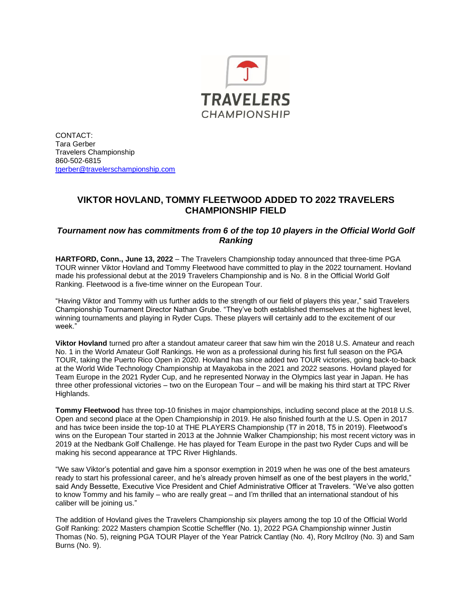

CONTACT: Tara Gerber Travelers Championship 860-502-6815 [tgerber@travelerschampionship.com](mailto:tgerber@travelerschampionship.com)

## **VIKTOR HOVLAND, TOMMY FLEETWOOD ADDED TO 2022 TRAVELERS CHAMPIONSHIP FIELD**

## *Tournament now has commitments from 6 of the top 10 players in the Official World Golf Ranking*

**HARTFORD, Conn., June 13, 2022** – The Travelers Championship today announced that three-time PGA TOUR winner Viktor Hovland and Tommy Fleetwood have committed to play in the 2022 tournament. Hovland made his professional debut at the 2019 Travelers Championship and is No. 8 in the Official World Golf Ranking. Fleetwood is a five-time winner on the European Tour.

"Having Viktor and Tommy with us further adds to the strength of our field of players this year," said Travelers Championship Tournament Director Nathan Grube. "They've both established themselves at the highest level, winning tournaments and playing in Ryder Cups. These players will certainly add to the excitement of our week."

**Viktor Hovland** turned pro after a standout amateur career that saw him win the 2018 U.S. Amateur and reach No. 1 in the World Amateur Golf Rankings. He won as a professional during his first full season on the PGA TOUR, taking the Puerto Rico Open in 2020. Hovland has since added two TOUR victories, going back-to-back at the World Wide Technology Championship at Mayakoba in the 2021 and 2022 seasons. Hovland played for Team Europe in the 2021 Ryder Cup, and he represented Norway in the Olympics last year in Japan. He has three other professional victories – two on the European Tour – and will be making his third start at TPC River Highlands.

**Tommy Fleetwood** has three top-10 finishes in major championships, including second place at the 2018 U.S. Open and second place at the Open Championship in 2019. He also finished fourth at the U.S. Open in 2017 and has twice been inside the top-10 at THE PLAYERS Championship (T7 in 2018, T5 in 2019). Fleetwood's wins on the European Tour started in 2013 at the Johnnie Walker Championship; his most recent victory was in 2019 at the Nedbank Golf Challenge. He has played for Team Europe in the past two Ryder Cups and will be making his second appearance at TPC River Highlands.

"We saw Viktor's potential and gave him a sponsor exemption in 2019 when he was one of the best amateurs ready to start his professional career, and he's already proven himself as one of the best players in the world," said Andy Bessette, Executive Vice President and Chief Administrative Officer at Travelers. "We've also gotten to know Tommy and his family – who are really great – and I'm thrilled that an international standout of his caliber will be joining us."

The addition of Hovland gives the Travelers Championship six players among the top 10 of the Official World Golf Ranking: 2022 Masters champion Scottie Scheffler (No. 1), 2022 PGA Championship winner Justin Thomas (No. 5), reigning PGA TOUR Player of the Year Patrick Cantlay (No. 4), Rory McIlroy (No. 3) and Sam Burns (No. 9).